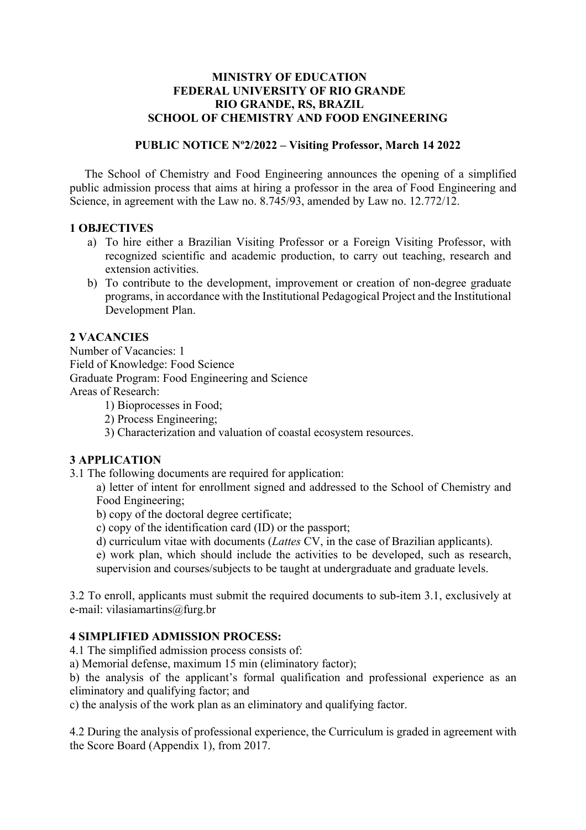## **MINISTRY OF EDUCATION FEDERAL UNIVERSITY OF RIO GRANDE RIO GRANDE, RS, BRAZIL SCHOOL OF CHEMISTRY AND FOOD ENGINEERING**

## **PUBLIC NOTICE Nº2/2022 – Visiting Professor, March 14 2022**

The School of Chemistry and Food Engineering announces the opening of a simplified public admission process that aims at hiring a professor in the area of Food Engineering and Science, in agreement with the Law no. 8.745/93, amended by Law no. 12.772/12.

## **1 OBJECTIVES**

- a) To hire either a Brazilian Visiting Professor or a Foreign Visiting Professor, with recognized scientific and academic production, to carry out teaching, research and extension activities.
- b) To contribute to the development, improvement or creation of non-degree graduate programs, in accordance with the Institutional Pedagogical Project and the Institutional Development Plan.

## **2 VACANCIES**

Number of Vacancies: 1 Field of Knowledge: Food Science Graduate Program: Food Engineering and Science Areas of Research: 1) Bioprocesses in Food;

2) Process Engineering;

3) Characterization and valuation of coastal ecosystem resources.

# **3 APPLICATION**

3.1 The following documents are required for application:

a) letter of intent for enrollment signed and addressed to the School of Chemistry and Food Engineering;

b) copy of the doctoral degree certificate;

c) copy of the identification card (ID) or the passport;

d) curriculum vitae with documents (*Lattes* CV, in the case of Brazilian applicants).

e) work plan, which should include the activities to be developed, such as research, supervision and courses/subjects to be taught at undergraduate and graduate levels.

3.2 To enroll, applicants must submit the required documents to sub-item 3.1, exclusively at e-mail: vilasiamartins@furg.br

## **4 SIMPLIFIED ADMISSION PROCESS:**

4.1 The simplified admission process consists of:

a) Memorial defense, maximum 15 min (eliminatory factor);

b) the analysis of the applicant's formal qualification and professional experience as an eliminatory and qualifying factor; and

c) the analysis of the work plan as an eliminatory and qualifying factor.

4.2 During the analysis of professional experience, the Curriculum is graded in agreement with the Score Board (Appendix 1), from 2017.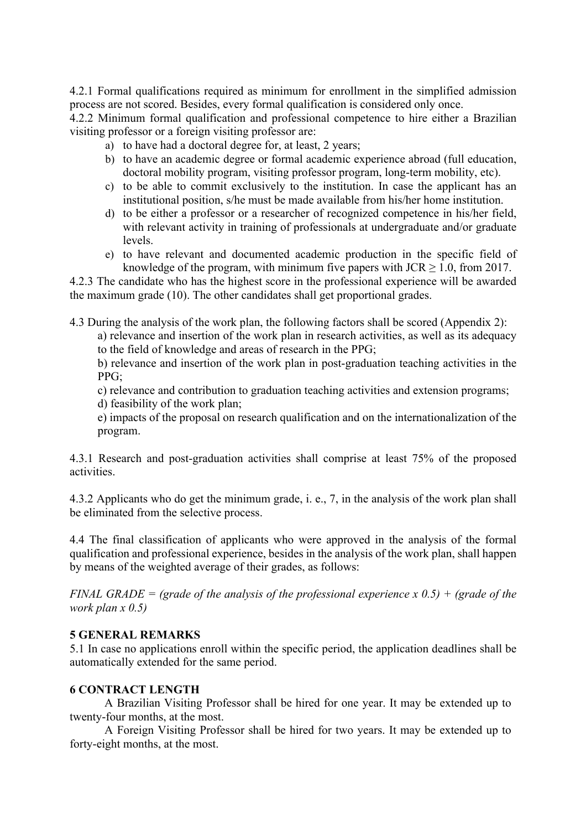4.2.1 Formal qualifications required as minimum for enrollment in the simplified admission process are not scored. Besides, every formal qualification is considered only once.

4.2.2 Minimum formal qualification and professional competence to hire either a Brazilian visiting professor or a foreign visiting professor are:

- a) to have had a doctoral degree for, at least, 2 years;
- b) to have an academic degree or formal academic experience abroad (full education, doctoral mobility program, visiting professor program, long-term mobility, etc).
- c) to be able to commit exclusively to the institution. In case the applicant has an institutional position, s/he must be made available from his/her home institution.
- d) to be either a professor or a researcher of recognized competence in his/her field, with relevant activity in training of professionals at undergraduate and/or graduate levels.
- e) to have relevant and documented academic production in the specific field of knowledge of the program, with minimum five papers with  $JCR \ge 1.0$ , from 2017.

4.2.3 The candidate who has the highest score in the professional experience will be awarded the maximum grade (10). The other candidates shall get proportional grades.

4.3 During the analysis of the work plan, the following factors shall be scored (Appendix 2):

a) relevance and insertion of the work plan in research activities, as well as its adequacy to the field of knowledge and areas of research in the PPG;

b) relevance and insertion of the work plan in post-graduation teaching activities in the PPG;

- c) relevance and contribution to graduation teaching activities and extension programs;
- d) feasibility of the work plan;

e) impacts of the proposal on research qualification and on the internationalization of the program.

4.3.1 Research and post-graduation activities shall comprise at least 75% of the proposed activities.

4.3.2 Applicants who do get the minimum grade, i. e., 7, in the analysis of the work plan shall be eliminated from the selective process.

4.4 The final classification of applicants who were approved in the analysis of the formal qualification and professional experience, besides in the analysis of the work plan, shall happen by means of the weighted average of their grades, as follows:

*FINAL GRADE = (grade of the analysis of the professional experience x 0.5) + (grade of the work plan x 0.5)*

# **5 GENERAL REMARKS**

5.1 In case no applications enroll within the specific period, the application deadlines shall be automatically extended for the same period.

# **6 CONTRACT LENGTH**

A Brazilian Visiting Professor shall be hired for one year. It may be extended up to twenty-four months, at the most.

A Foreign Visiting Professor shall be hired for two years. It may be extended up to forty-eight months, at the most.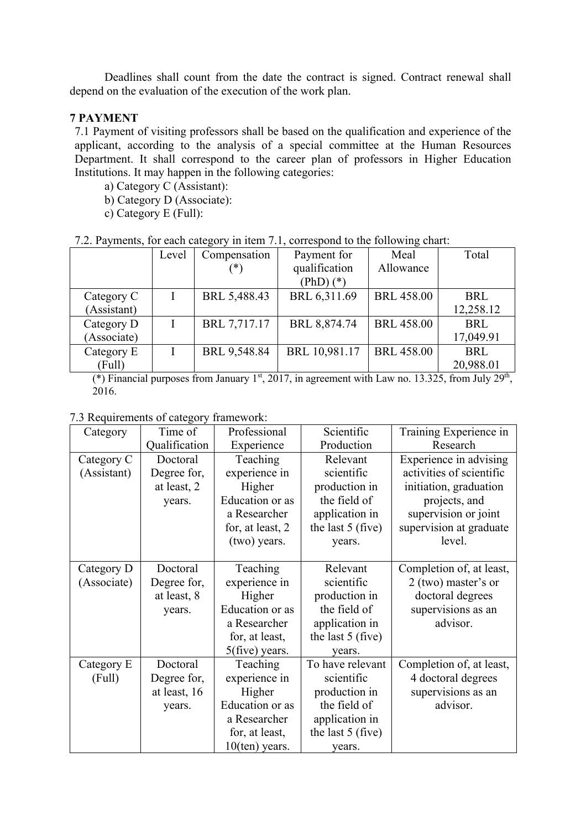Deadlines shall count from the date the contract is signed. Contract renewal shall depend on the evaluation of the execution of the work plan.

# **7 PAYMENT**

7.1 Payment of visiting professors shall be based on the qualification and experience of the applicant, according to the analysis of a special committee at the Human Resources Department. It shall correspond to the career plan of professors in Higher Education Institutions. It may happen in the following categories:

- a) Category C (Assistant):
- b) Category D (Associate):
- c) Category E (Full):

## 7.2. Payments, for each category in item 7.1, correspond to the following chart:

|             | Level | Compensation | Payment for   | Meal              | Total      |
|-------------|-------|--------------|---------------|-------------------|------------|
|             |       | $(*)$        | qualification | Allowance         |            |
|             |       |              | $(PhD)$ $(*)$ |                   |            |
| Category C  |       | BRL 5,488.43 | BRL 6,311.69  | <b>BRL 458.00</b> | <b>BRL</b> |
| (Assistant) |       |              |               |                   | 12,258.12  |
| Category D  |       | BRL 7,717.17 | BRL 8,874.74  | <b>BRL 458.00</b> | <b>BRL</b> |
| (Associate) |       |              |               |                   | 17,049.91  |
| Category E  |       | BRL 9,548.84 | BRL 10,981.17 | <b>BRL 458.00</b> | <b>BRL</b> |
| (Full)      |       |              |               |                   | 20,988.01  |

(\*) Financial purposes from January 1st, 2017, in agreement with Law no. 13.325, from July  $29<sup>th</sup>$ , 2016.

| Category    | Time of       | Professional      | Scientific          | Training Experience in   |
|-------------|---------------|-------------------|---------------------|--------------------------|
|             | Qualification | Experience        | Production          | Research                 |
| Category C  | Doctoral      | Teaching          | Relevant            | Experience in advising   |
| (Assistant) | Degree for,   | experience in     | scientific          | activities of scientific |
|             | at least, 2   | Higher            | production in       | initiation, graduation   |
|             | years.        | Education or as   | the field of        | projects, and            |
|             |               | a Researcher      | application in      | supervision or joint     |
|             |               | for, at least, 2  | the last $5$ (five) | supervision at graduate  |
|             |               | (two) years.      | years.              | level.                   |
|             |               |                   |                     |                          |
| Category D  | Doctoral      | Teaching          | Relevant            | Completion of, at least, |
| (Associate) | Degree for,   | experience in     | scientific          | 2 (two) master's or      |
|             | at least, 8   | Higher            | production in       | doctoral degrees         |
|             | years.        | Education or as   | the field of        | supervisions as an       |
|             |               | a Researcher      | application in      | advisor.                 |
|             |               | for, at least,    | the last $5$ (five) |                          |
|             |               | $5$ (five) years. | years.              |                          |
| Category E  | Doctoral      | Teaching          | To have relevant    | Completion of, at least, |
| (Full)      | Degree for,   | experience in     | scientific          | 4 doctoral degrees       |
|             | at least, 16  | Higher            | production in       | supervisions as an       |
|             | years.        | Education or as   | the field of        | advisor.                 |
|             |               | a Researcher      | application in      |                          |
|             |               | for, at least,    | the last $5$ (five) |                          |
|             |               | $10$ (ten) years. | years.              |                          |

## 7.3 Requirements of category framework: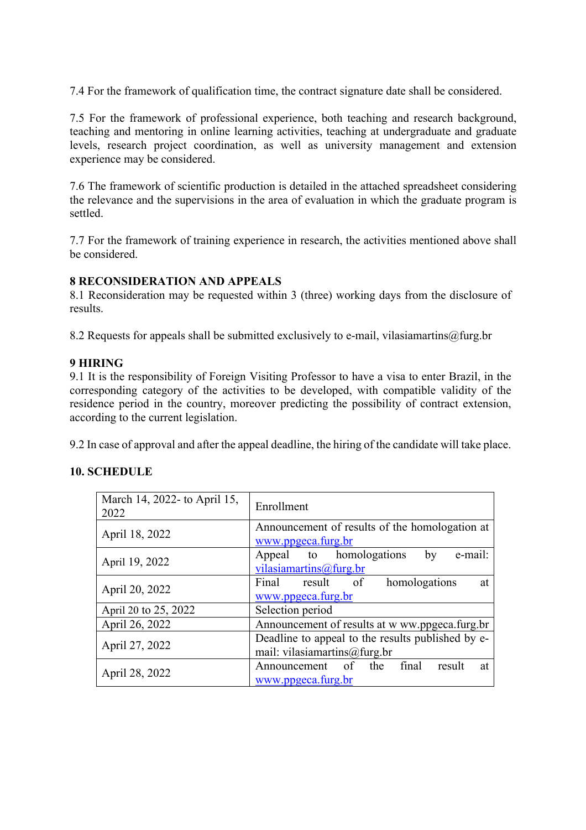7.4 For the framework of qualification time, the contract signature date shall be considered.

7.5 For the framework of professional experience, both teaching and research background, teaching and mentoring in online learning activities, teaching at undergraduate and graduate levels, research project coordination, as well as university management and extension experience may be considered.

7.6 The framework of scientific production is detailed in the attached spreadsheet considering the relevance and the supervisions in the area of evaluation in which the graduate program is settled.

7.7 For the framework of training experience in research, the activities mentioned above shall be considered.

## **8 RECONSIDERATION AND APPEALS**

8.1 Reconsideration may be requested within 3 (three) working days from the disclosure of results.

8.2 Requests for appeals shall be submitted exclusively to e-mail, vilasiamartins@furg.br

## **9 HIRING**

9.1 It is the responsibility of Foreign Visiting Professor to have a visa to enter Brazil, in the corresponding category of the activities to be developed, with compatible validity of the residence period in the country, moreover predicting the possibility of contract extension, according to the current legislation.

9.2 In case of approval and after the appeal deadline, the hiring of the candidate will take place.

# **10. SCHEDULE**

| March 14, 2022- to April 15,<br>2022 | Enrollment                                                                        |  |  |  |
|--------------------------------------|-----------------------------------------------------------------------------------|--|--|--|
| April 18, 2022                       | Announcement of results of the homologation at<br>www.ppgeca.furg.br              |  |  |  |
| April 19, 2022                       | Appeal to homologations<br>by<br>e-mail:<br>vilasiamartins@furg.br                |  |  |  |
| April 20, 2022                       | Final result of<br>homologations<br>at<br>www.ppgeca.furg.br                      |  |  |  |
| April 20 to 25, 2022                 | Selection period                                                                  |  |  |  |
| April 26, 2022                       | Announcement of results at w ww.ppgeca.furg.br                                    |  |  |  |
| April 27, 2022                       | Deadline to appeal to the results published by e-<br>mail: vilasiamartins@furg.br |  |  |  |
| April 28, 2022                       | Announcement of the final<br>result<br>at<br>www.ppgeca.furg.br                   |  |  |  |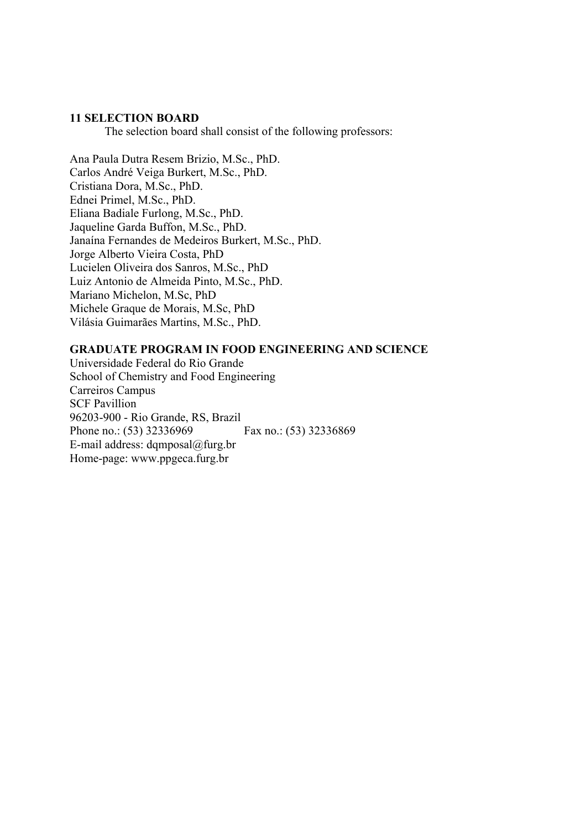#### **11 SELECTION BOARD**

The selection board shall consist of the following professors:

Ana Paula Dutra Resem Brizio, M.Sc., PhD. Carlos André Veiga Burkert, M.Sc., PhD. Cristiana Dora, M.Sc., PhD. Ednei Primel, M.Sc., PhD. Eliana Badiale Furlong, M.Sc., PhD. Jaqueline Garda Buffon, M.Sc., PhD. Janaína Fernandes de Medeiros Burkert, M.Sc., PhD. Jorge Alberto Vieira Costa, PhD Lucielen Oliveira dos Sanros, M.Sc., PhD Luiz Antonio de Almeida Pinto, M.Sc., PhD. Mariano Michelon, M.Sc, PhD Michele Graque de Morais, M.Sc, PhD Vilásia Guimarães Martins, M.Sc., PhD.

#### **GRADUATE PROGRAM IN FOOD ENGINEERING AND SCIENCE**

Universidade Federal do Rio Grande School of Chemistry and Food Engineering Carreiros Campus SCF Pavillion 96203-900 - Rio Grande, RS, Brazil Phone no.: (53) 32336969 Fax no.: (53) 32336869 E-mail address: dqmposal@furg.br Home-page: www.ppgeca.furg.br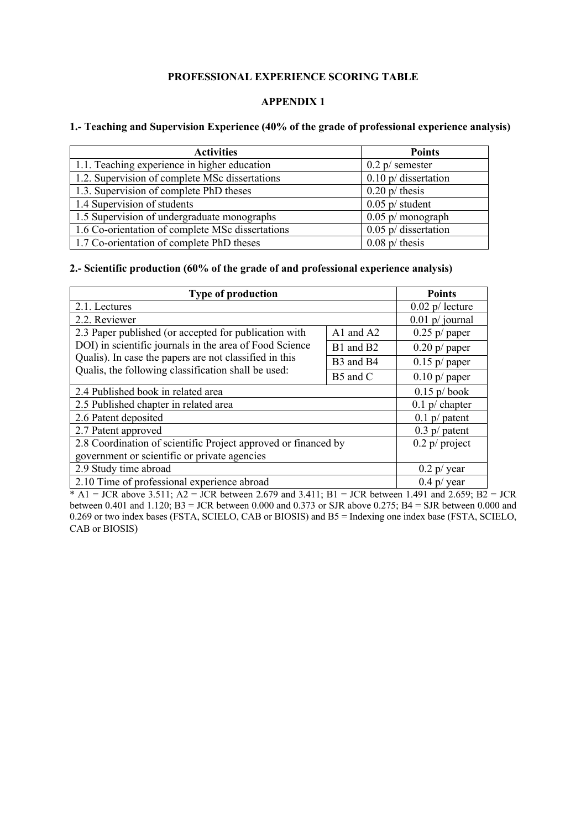## **PROFESSIONAL EXPERIENCE SCORING TABLE**

#### **APPENDIX 1**

#### **1.- Teaching and Supervision Experience (40% of the grade of professional experience analysis)**

| <b>Activities</b>                                | <b>Points</b>           |  |
|--------------------------------------------------|-------------------------|--|
| 1.1. Teaching experience in higher education     | $0.2$ p/ semester       |  |
| 1.2. Supervision of complete MSc dissertations   | $0.10$ p/ dissertation  |  |
| 1.3. Supervision of complete PhD theses          | $0.20 \text{ p}$ thesis |  |
| 1.4 Supervision of students                      | $0.05$ p/ student       |  |
| 1.5 Supervision of undergraduate monographs      | $0.05$ p/ monograph     |  |
| 1.6 Co-orientation of complete MSc dissertations | $0.05$ p/ dissertation  |  |
| 1.7 Co-orientation of complete PhD theses        | $0.08$ p/ thesis        |  |

#### **2.- Scientific production (60% of the grade of and professional experience analysis)**

| <b>Type of production</b>                                      | <b>Points</b>     |                 |
|----------------------------------------------------------------|-------------------|-----------------|
| 2.1. Lectures                                                  | $0.02$ p/ lecture |                 |
| 2.2. Reviewer                                                  | $0.01$ p/ journal |                 |
| 2.3 Paper published (or accepted for publication with          | A1 and $A2$       | $0.25$ p/ paper |
| DOI) in scientific journals in the area of Food Science        | B1 and B2         | $0.20$ p/ paper |
| Qualis). In case the papers are not classified in this         | B3 and B4         | $0.15$ p/ paper |
| Qualis, the following classification shall be used:            | B5 and C          | $0.10$ p/ paper |
| 2.4 Published book in related area                             | $0.15$ p/book     |                 |
| 2.5 Published chapter in related area                          | $0.1$ p/ chapter  |                 |
| 2.6 Patent deposited                                           | $0.1$ p/ patent   |                 |
| 2.7 Patent approved                                            | $0.3$ p/ patent   |                 |
| 2.8 Coordination of scientific Project approved or financed by | $0.2$ p/ project  |                 |
| government or scientific or private agencies                   |                   |                 |
| 2.9 Study time abroad                                          | $0.2$ p/ year     |                 |
| 2.10 Time of professional experience abroad                    | $0.4$ p/ year     |                 |

 $*$  A1 = JCR above 3.511; A2 = JCR between 2.679 and 3.411; B1 = JCR between 1.491 and 2.659; B2 = JCR between 0.401 and 1.120; B3 = JCR between 0.000 and 0.373 or SJR above 0.275; B4 = SJR between 0.000 and 0.269 or two index bases (FSTA, SCIELO, CAB or BIOSIS) and B5 = Indexing one index base (FSTA, SCIELO, CAB or BIOSIS)